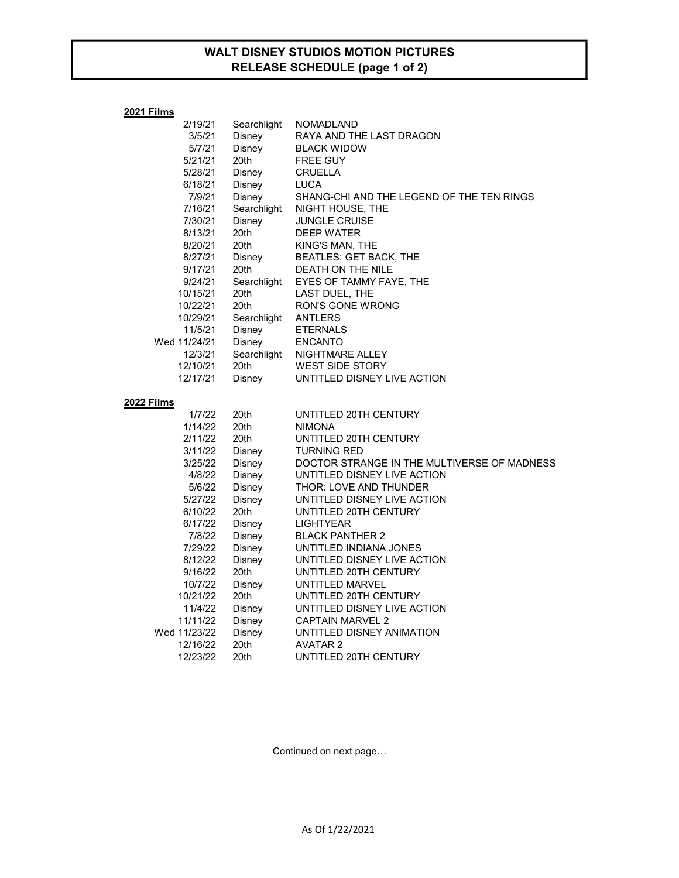## WALT DISNEY STUDIOS MOTION PICTURES RELEASE SCHEDULE (page 1 of 2)

| 2021 Films   |             |                                             |  |
|--------------|-------------|---------------------------------------------|--|
| 2/19/21      | Searchlight | <b>NOMADLAND</b>                            |  |
| 3/5/21       | Disney      | RAYA AND THE LAST DRAGON                    |  |
| 5/7/21       | Disney      | <b>BLACK WIDOW</b>                          |  |
| 5/21/21      | 20th        | <b>FREE GUY</b>                             |  |
| 5/28/21      | Disney      | <b>CRUELLA</b>                              |  |
| 6/18/21      | Disney      | <b>LUCA</b>                                 |  |
| 7/9/21       | Disney      | SHANG-CHI AND THE LEGEND OF THE TEN RINGS   |  |
| 7/16/21      | Searchlight | NIGHT HOUSE, THE                            |  |
| 7/30/21      | Disney      | <b>JUNGLE CRUISE</b>                        |  |
| 8/13/21      | 20th        | <b>DEEP WATER</b>                           |  |
| 8/20/21      | 20th        | KING'S MAN, THE                             |  |
| 8/27/21      | Disney      | <b>BEATLES: GET BACK, THE</b>               |  |
| 9/17/21      | 20th        | DEATH ON THE NILE                           |  |
| 9/24/21      | Searchlight | EYES OF TAMMY FAYE, THE                     |  |
| 10/15/21     | 20th        | LAST DUEL, THE                              |  |
| 10/22/21     | 20th        | <b>RON'S GONE WRONG</b>                     |  |
| 10/29/21     | Searchlight | <b>ANTLERS</b>                              |  |
| 11/5/21      | Disney      | <b>ETERNALS</b>                             |  |
| Wed 11/24/21 | Disney      | <b>ENCANTO</b>                              |  |
| 12/3/21      | Searchlight | NIGHTMARE ALLEY                             |  |
| 12/10/21     | 20th        | <b>WEST SIDE STORY</b>                      |  |
| 12/17/21     | Disney      | UNTITLED DISNEY LIVE ACTION                 |  |
| 2022 Films   |             |                                             |  |
| 1/7/22       | 20th        | UNTITLED 20TH CENTURY                       |  |
| 1/14/22      | 20th        | <b>NIMONA</b>                               |  |
| 2/11/22      | 20th        | UNTITLED 20TH CENTURY                       |  |
| 3/11/22      | Disney      | <b>TURNING RED</b>                          |  |
| 3/25/22      | Disney      | DOCTOR STRANGE IN THE MULTIVERSE OF MADNESS |  |
| 4/8/22       | Disney      | UNTITLED DISNEY LIVE ACTION                 |  |
| 5/6/22       | Disney      | THOR: LOVE AND THUNDER                      |  |
| 5/27/22      | Disney      | UNTITLED DISNEY LIVE ACTION                 |  |
| 6/10/22      | 20th        | UNTITLED 20TH CENTURY                       |  |
| 6/17/22      | Disney      | <b>LIGHTYEAR</b>                            |  |
| 7/8/22       | Disney      | <b>BLACK PANTHER 2</b>                      |  |
| 7/29/22      | Disney      | UNTITLED INDIANA JONES                      |  |
| 8/12/22      | Disney      | UNTITLED DISNEY LIVE ACTION                 |  |
| 9/16/22      | 20th        | UNTITLED 20TH CENTURY                       |  |
| 10/7/22      | Disney      | UNTITLED MARVEL                             |  |
| 10/21/22     | 20th        | UNTITLED 20TH CENTURY                       |  |
| 11/4/22      | Disney      | UNTITLED DISNEY LIVE ACTION                 |  |
| 11/11/22     | Disney      | <b>CAPTAIN MARVEL 2</b>                     |  |
| Wed 11/23/22 | Disney      | UNTITLED DISNEY ANIMATION                   |  |
| 12/16/22     | 20th        | <b>AVATAR 2</b>                             |  |
| 12/23/22     | 20th        | UNTITLED 20TH CENTURY                       |  |

Continued on next page…